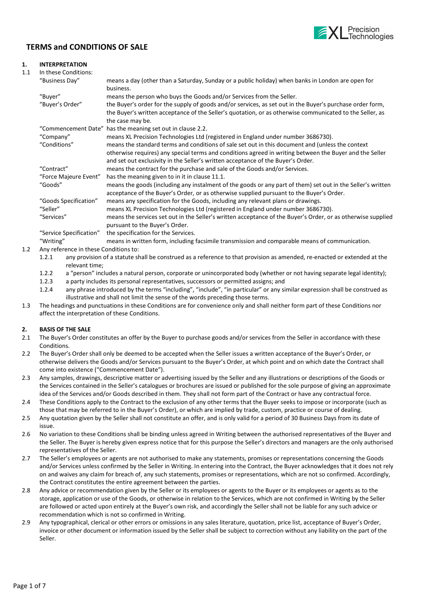

# TERMS and CONDITIONS OF SALE

# 1. INTERPRETATION

| 1.1 | In these Conditions:                  |                                                                                                                |
|-----|---------------------------------------|----------------------------------------------------------------------------------------------------------------|
|     | "Business Day"                        | means a day (other than a Saturday, Sunday or a public holiday) when banks in London are open for<br>business. |
|     | "Buyer"                               | means the person who buys the Goods and/or Services from the Seller.                                           |
|     |                                       |                                                                                                                |
|     | "Buyer's Order"                       | the Buyer's order for the supply of goods and/or services, as set out in the Buyer's purchase order form,      |
|     |                                       | the Buyer's written acceptance of the Seller's quotation, or as otherwise communicated to the Seller, as       |
|     |                                       | the case may be.                                                                                               |
|     |                                       | "Commencement Date" has the meaning set out in clause 2.2.                                                     |
|     | "Company"                             | means XL Precision Technologies Ltd (registered in England under number 3686730).                              |
|     | "Conditions"                          | means the standard terms and conditions of sale set out in this document and (unless the context               |
|     |                                       | otherwise requires) any special terms and conditions agreed in writing between the Buyer and the Seller        |
|     |                                       | and set out exclusivity in the Seller's written acceptance of the Buyer's Order.                               |
|     | "Contract"                            | means the contract for the purchase and sale of the Goods and/or Services.                                     |
|     | "Force Majeure Event"                 | has the meaning given to in it in clause 11.1.                                                                 |
|     | "Goods"                               | means the goods (including any instalment of the goods or any part of them) set out in the Seller's written    |
|     |                                       | acceptance of the Buyer's Order, or as otherwise supplied pursuant to the Buyer's Order.                       |
|     | "Goods Specification"                 | means any specification for the Goods, including any relevant plans or drawings.                               |
|     | "Seller"                              | means XL Precision Technologies Ltd (registered in England under number 3686730).                              |
|     | "Services"                            | means the services set out in the Seller's written acceptance of the Buyer's Order, or as otherwise supplied   |
|     |                                       | pursuant to the Buyer's Order.                                                                                 |
|     | "Service Specification"               | the specification for the Services.                                                                            |
|     | "Writing"                             | means in written form, including facsimile transmission and comparable means of communication.                 |
| 1.2 | Any reference in these Conditions to: |                                                                                                                |
|     |                                       |                                                                                                                |

- 1.2.1 any provision of a statute shall be construed as a reference to that provision as amended, re-enacted or extended at the relevant time;
- 1.2.2 a "person" includes a natural person, corporate or unincorporated body (whether or not having separate legal identity);
- 1.2.3 a party includes its personal representatives, successors or permitted assigns; and
- 1.2.4 any phrase introduced by the terms "including", "include", "in particular" or any similar expression shall be construed as illustrative and shall not limit the sense of the words preceding those terms.
- 1.3 The headings and punctuations in these Conditions are for convenience only and shall neither form part of these Conditions nor affect the interpretation of these Conditions.

# 2. BASIS OF THE SALE

- 2.1 The Buyer's Order constitutes an offer by the Buyer to purchase goods and/or services from the Seller in accordance with these **Conditions**
- 2.2 The Buyer's Order shall only be deemed to be accepted when the Seller issues a written acceptance of the Buyer's Order, or otherwise delivers the Goods and/or Services pursuant to the Buyer's Order, at which point and on which date the Contract shall come into existence ("Commencement Date").
- 2.3 Any samples, drawings, descriptive matter or advertising issued by the Seller and any illustrations or descriptions of the Goods or the Services contained in the Seller's catalogues or brochures are issued or published for the sole purpose of giving an approximate idea of the Services and/or Goods described in them. They shall not form part of the Contract or have any contractual force.
- 2.4 These Conditions apply to the Contract to the exclusion of any other terms that the Buyer seeks to impose or incorporate (such as those that may be referred to in the Buyer's Order), or which are implied by trade, custom, practice or course of dealing.
- 2.5 Any quotation given by the Seller shall not constitute an offer, and is only valid for a period of 30 Business Days from its date of issue.
- 2.6 No variation to these Conditions shall be binding unless agreed in Writing between the authorised representatives of the Buyer and the Seller. The Buyer is hereby given express notice that for this purpose the Seller's directors and managers are the only authorised representatives of the Seller.
- 2.7 The Seller's employees or agents are not authorised to make any statements, promises or representations concerning the Goods and/or Services unless confirmed by the Seller in Writing. In entering into the Contract, the Buyer acknowledges that it does not rely on and waives any claim for breach of, any such statements, promises or representations, which are not so confirmed. Accordingly, the Contract constitutes the entire agreement between the parties.
- 2.8 Any advice or recommendation given by the Seller or its employees or agents to the Buyer or its employees or agents as to the storage, application or use of the Goods, or otherwise in relation to the Services, which are not confirmed in Writing by the Seller are followed or acted upon entirely at the Buyer's own risk, and accordingly the Seller shall not be liable for any such advice or recommendation which is not so confirmed in Writing.
- 2.9 Any typographical, clerical or other errors or omissions in any sales literature, quotation, price list, acceptance of Buyer's Order, invoice or other document or information issued by the Seller shall be subject to correction without any liability on the part of the Seller.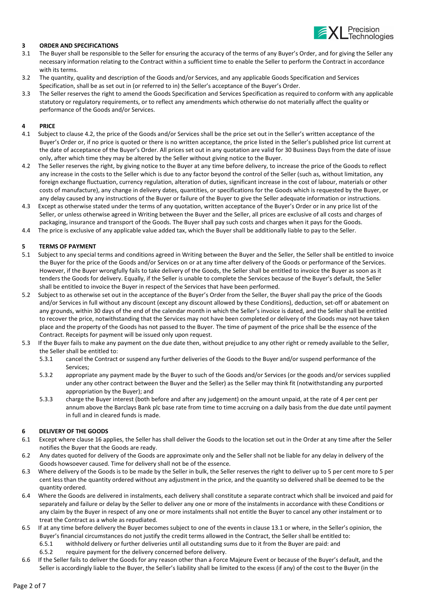

### 3 ORDER AND SPECIFICATIONS

- 3.1 The Buyer shall be responsible to the Seller for ensuring the accuracy of the terms of any Buyer's Order, and for giving the Seller any necessary information relating to the Contract within a sufficient time to enable the Seller to perform the Contract in accordance with its terms.
- 3.2 The quantity, quality and description of the Goods and/or Services, and any applicable Goods Specification and Services Specification, shall be as set out in (or referred to in) the Seller's acceptance of the Buyer's Order.
- 3.3 The Seller reserves the right to amend the Goods Specification and Services Specification as required to conform with any applicable statutory or regulatory requirements, or to reflect any amendments which otherwise do not materially affect the quality or performance of the Goods and/or Services.

### 4 PRICE

- 4.1 Subject to clause 4.2, the price of the Goods and/or Services shall be the price set out in the Seller's written acceptance of the Buyer's Order or, if no price is quoted or there is no written acceptance, the price listed in the Seller's published price list current at the date of acceptance of the Buyer's Order. All prices set out in any quotation are valid for 30 Business Days from the date of issue only, after which time they may be altered by the Seller without giving notice to the Buyer.
- 4.2 The Seller reserves the right, by giving notice to the Buyer at any time before delivery, to increase the price of the Goods to reflect any increase in the costs to the Seller which is due to any factor beyond the control of the Seller (such as, without limitation, any foreign exchange fluctuation, currency regulation, alteration of duties, significant increase in the cost of labour, materials or other costs of manufacture), any change in delivery dates, quantities, or specifications for the Goods which is requested by the Buyer, or any delay caused by any instructions of the Buyer or failure of the Buyer to give the Seller adequate information or instructions.
- 4.3 Except as otherwise stated under the terms of any quotation, written acceptance of the Buyer's Order or in any price list of the Seller, or unless otherwise agreed in Writing between the Buyer and the Seller, all prices are exclusive of all costs and charges of packaging, insurance and transport of the Goods. The Buyer shall pay such costs and charges when it pays for the Goods.
- 4.4 The price is exclusive of any applicable value added tax, which the Buyer shall be additionally liable to pay to the Seller.

#### 5 TERMS OF PAYMENT

- 5.1 Subject to any special terms and conditions agreed in Writing between the Buyer and the Seller, the Seller shall be entitled to invoice the Buyer for the price of the Goods and/or Services on or at any time after delivery of the Goods or performance of the Services. However, if the Buyer wrongfully fails to take delivery of the Goods, the Seller shall be entitled to invoice the Buyer as soon as it tenders the Goods for delivery. Equally, if the Seller is unable to complete the Services because of the Buyer's default, the Seller shall be entitled to invoice the Buyer in respect of the Services that have been performed.
- 5.2 Subject to as otherwise set out in the acceptance of the Buyer's Order from the Seller, the Buyer shall pay the price of the Goods and/or Services in full without any discount (except any discount allowed by these Conditions), deduction, set-off or abatement on any grounds, within 30 days of the end of the calendar month in which the Seller's invoice is dated, and the Seller shall be entitled to recover the price, notwithstanding that the Services may not have been completed or delivery of the Goods may not have taken place and the property of the Goods has not passed to the Buyer. The time of payment of the price shall be the essence of the Contract. Receipts for payment will be issued only upon request.
- 5.3 If the Buyer fails to make any payment on the due date then, without prejudice to any other right or remedy available to the Seller, the Seller shall be entitled to:
	- 5.3.1 cancel the Contract or suspend any further deliveries of the Goods to the Buyer and/or suspend performance of the Services;
	- 5.3.2 appropriate any payment made by the Buyer to such of the Goods and/or Services (or the goods and/or services supplied under any other contract between the Buyer and the Seller) as the Seller may think fit (notwithstanding any purported appropriation by the Buyer); and
	- 5.3.3 charge the Buyer interest (both before and after any judgement) on the amount unpaid, at the rate of 4 per cent per annum above the Barclays Bank plc base rate from time to time accruing on a daily basis from the due date until payment in full and in cleared funds is made.

#### 6 DELIVERY OF THE GOODS

- 6.1 Except where clause 16 applies, the Seller has shall deliver the Goods to the location set out in the Order at any time after the Seller notifies the Buyer that the Goods are ready.
- 6.2 Any dates quoted for delivery of the Goods are approximate only and the Seller shall not be liable for any delay in delivery of the Goods howsoever caused. Time for delivery shall not be of the essence.
- 6.3 Where delivery of the Goods is to be made by the Seller in bulk, the Seller reserves the right to deliver up to 5 per cent more to 5 per cent less than the quantity ordered without any adjustment in the price, and the quantity so delivered shall be deemed to be the quantity ordered.
- 6.4 Where the Goods are delivered in instalments, each delivery shall constitute a separate contract which shall be invoiced and paid for separately and failure or delay by the Seller to deliver any one or more of the instalments in accordance with these Conditions or any claim by the Buyer in respect of any one or more instalments shall not entitle the Buyer to cancel any other instalment or to treat the Contract as a whole as repudiated.
- 6.5 If at any time before delivery the Buyer becomes subject to one of the events in clause 13.1 or where, in the Seller's opinion, the Buyer's financial circumstances do not justify the credit terms allowed in the Contract, the Seller shall be entitled to:
	- 6.5.1 withhold delivery or further deliveries until all outstanding sums due to it from the Buyer are paid: and
	- 6.5.2 require payment for the delivery concerned before delivery.
- 6.6 If the Seller fails to deliver the Goods for any reason other than a Force Majeure Event or because of the Buyer's default, and the Seller is accordingly liable to the Buyer, the Seller's liability shall be limited to the excess (if any) of the cost to the Buyer (in the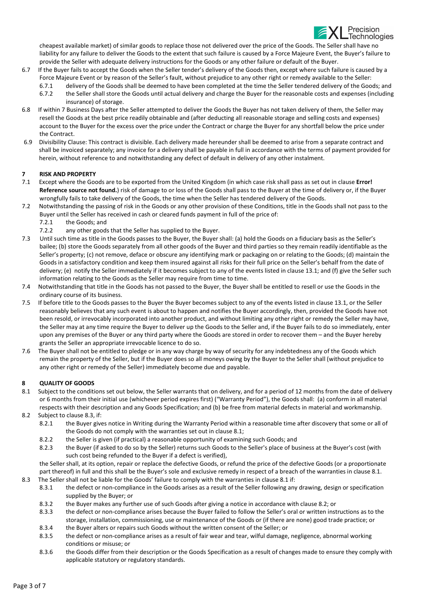Precision Technologies

cheapest available market) of similar goods to replace those not delivered over the price of the Goods. The Seller shall have no liability for any failure to deliver the Goods to the extent that such failure is caused by a Force Majeure Event, the Buyer's failure to provide the Seller with adequate delivery instructions for the Goods or any other failure or default of the Buyer.

- 6.7 If the Buyer fails to accept the Goods when the Seller tender's delivery of the Goods then, except where such failure is caused by a Force Majeure Event or by reason of the Seller's fault, without prejudice to any other right or remedy available to the Seller:
	- 6.7.1 delivery of the Goods shall be deemed to have been completed at the time the Seller tendered delivery of the Goods; and 6.7.2 the Seller shall store the Goods until actual delivery and charge the Buyer for the reasonable costs and expenses (including insurance) of storage.
- 6.8 If within 7 Business Days after the Seller attempted to deliver the Goods the Buyer has not taken delivery of them, the Seller may resell the Goods at the best price readily obtainable and (after deducting all reasonable storage and selling costs and expenses) account to the Buyer for the excess over the price under the Contract or charge the Buyer for any shortfall below the price under the Contract.
- 6.9 Divisibility Clause: This contract is divisible. Each delivery made hereunder shall be deemed to arise from a separate contract and shall be invoiced separately; any invoice for a delivery shall be payable in full in accordance with the terms of payment provided for herein, without reference to and notwithstanding any defect of default in delivery of any other instalment.

### 7 RISK AND PROPERTY

- 7.1 Except where the Goods are to be exported from the United Kingdom (in which case risk shall pass as set out in clause Error! Reference source not found.) risk of damage to or loss of the Goods shall pass to the Buyer at the time of delivery or, if the Buyer wrongfully fails to take delivery of the Goods, the time when the Seller has tendered delivery of the Goods.
- 7.2 Notwithstanding the passing of risk in the Goods or any other provision of these Conditions, title in the Goods shall not pass to the Buyer until the Seller has received in cash or cleared funds payment in full of the price of:
	- 7.2.1 the Goods; and
	- 7.2.2 any other goods that the Seller has supplied to the Buyer.
- 7.3 Until such time as title in the Goods passes to the Buyer, the Buyer shall: (a) hold the Goods on a fiduciary basis as the Seller's bailee; (b) store the Goods separately from all other goods of the Buyer and third parties so they remain readily identifiable as the Seller's property; (c) not remove, deface or obscure any identifying mark or packaging on or relating to the Goods; (d) maintain the Goods in a satisfactory condition and keep them insured against all risks for their full price on the Seller's behalf from the date of delivery; (e) notify the Seller immediately if it becomes subject to any of the events listed in clause 13.1; and (f) give the Seller such information relating to the Goods as the Seller may require from time to time.
- 7.4 Notwithstanding that title in the Goods has not passed to the Buyer, the Buyer shall be entitled to resell or use the Goods in the ordinary course of its business.
- 7.5 If before title to the Goods passes to the Buyer the Buyer becomes subject to any of the events listed in clause 13.1, or the Seller reasonably believes that any such event is about to happen and notifies the Buyer accordingly, then, provided the Goods have not been resold, or irrevocably incorporated into another product, and without limiting any other right or remedy the Seller may have, the Seller may at any time require the Buyer to deliver up the Goods to the Seller and, if the Buyer fails to do so immediately, enter upon any premises of the Buyer or any third party where the Goods are stored in order to recover them – and the Buyer hereby grants the Seller an appropriate irrevocable licence to do so.
- 7.6 The Buyer shall not be entitled to pledge or in any way charge by way of security for any indebtedness any of the Goods which remain the property of the Seller, but if the Buyer does so all moneys owing by the Buyer to the Seller shall (without prejudice to any other right or remedy of the Seller) immediately become due and payable.

# 8 QUALITY OF GOODS

- 8.1 Subject to the conditions set out below, the Seller warrants that on delivery, and for a period of 12 months from the date of delivery or 6 months from their initial use (whichever period expires first) ("Warranty Period"), the Goods shall: (a) conform in all material respects with their description and any Goods Specification; and (b) be free from material defects in material and workmanship.
- 8.2 Subject to clause 8.3, if:
	- 8.2.1 the Buyer gives notice in Writing during the Warranty Period within a reasonable time after discovery that some or all of the Goods do not comply with the warranties set out in clause 8.1;
	- 8.2.2 the Seller is given (if practical) a reasonable opportunity of examining such Goods; and
	- 8.2.3 the Buyer (if asked to do so by the Seller) returns such Goods to the Seller's place of business at the Buyer's cost (with such cost being refunded to the Buyer if a defect is verified),

the Seller shall, at its option, repair or replace the defective Goods, or refund the price of the defective Goods (or a proportionate part thereof) in full and this shall be the Buyer's sole and exclusive remedy in respect of a breach of the warranties in clause 8.1. 8.3 The Seller shall not be liable for the Goods' failure to comply with the warranties in clause 8.1 if:

- 8.3.1 the defect or non-compliance in the Goods arises as a result of the Seller following any drawing, design or specification supplied by the Buyer; or
- 8.3.2 the Buyer makes any further use of such Goods after giving a notice in accordance with clause 8.2; or
- 8.3.3 the defect or non-compliance arises because the Buyer failed to follow the Seller's oral or written instructions as to the storage, installation, commissioning, use or maintenance of the Goods or (if there are none) good trade practice; or
- 8.3.4 the Buyer alters or repairs such Goods without the written consent of the Seller; or
- 8.3.5 the defect or non-compliance arises as a result of fair wear and tear, wilful damage, negligence, abnormal working conditions or misuse; or
- 8.3.6 the Goods differ from their description or the Goods Specification as a result of changes made to ensure they comply with applicable statutory or regulatory standards.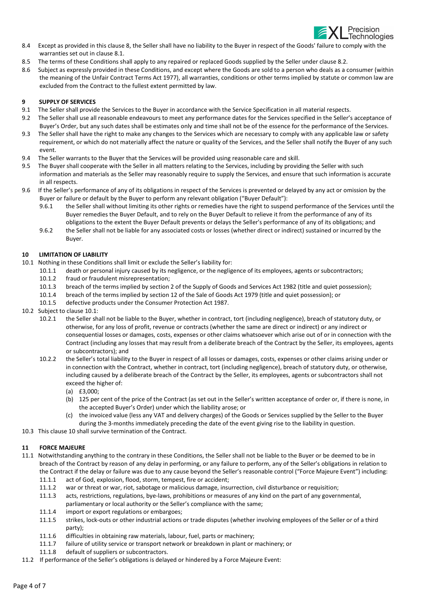

- 8.4 Except as provided in this clause 8, the Seller shall have no liability to the Buyer in respect of the Goods' failure to comply with the warranties set out in clause 8.1.
- 8.5 The terms of these Conditions shall apply to any repaired or replaced Goods supplied by the Seller under clause 8.2.
- 8.6 Subject as expressly provided in these Conditions, and except where the Goods are sold to a person who deals as a consumer (within the meaning of the Unfair Contract Terms Act 1977), all warranties, conditions or other terms implied by statute or common law are excluded from the Contract to the fullest extent permitted by law.

#### 9 SUPPLY OF SERVICES

- 9.1 The Seller shall provide the Services to the Buyer in accordance with the Service Specification in all material respects.
- 9.2 The Seller shall use all reasonable endeavours to meet any performance dates for the Services specified in the Seller's acceptance of Buyer's Order, but any such dates shall be estimates only and time shall not be of the essence for the performance of the Services.
- 9.3 The Seller shall have the right to make any changes to the Services which are necessary to comply with any applicable law or safety requirement, or which do not materially affect the nature or quality of the Services, and the Seller shall notify the Buyer of any such event.
- 9.4 The Seller warrants to the Buyer that the Services will be provided using reasonable care and skill.
- 9.5 The Buyer shall cooperate with the Seller in all matters relating to the Services, including by providing the Seller with such information and materials as the Seller may reasonably require to supply the Services, and ensure that such information is accurate in all respects.
- 9.6 If the Seller's performance of any of its obligations in respect of the Services is prevented or delayed by any act or omission by the Buyer or failure or default by the Buyer to perform any relevant obligation ("Buyer Default"):
	- 9.6.1 the Seller shall without limiting its other rights or remedies have the right to suspend performance of the Services until the Buyer remedies the Buyer Default, and to rely on the Buyer Default to relieve it from the performance of any of its obligations to the extent the Buyer Default prevents or delays the Seller's performance of any of its obligations; and
	- 9.6.2 the Seller shall not be liable for any associated costs or losses (whether direct or indirect) sustained or incurred by the Buyer.

#### 10 LIMITATION OF LIABILITY

- 10.1 Nothing in these Conditions shall limit or exclude the Seller's liability for:
	- 10.1.1 death or personal injury caused by its negligence, or the negligence of its employees, agents or subcontractors;
	- 10.1.2 fraud or fraudulent misrepresentation;
	- 10.1.3 breach of the terms implied by section 2 of the Supply of Goods and Services Act 1982 (title and quiet possession);
	- 10.1.4 breach of the terms implied by section 12 of the Sale of Goods Act 1979 (title and quiet possession); or
	- 10.1.5 defective products under the Consumer Protection Act 1987.
- 10.2 Subject to clause 10.1:
	- 10.2.1 the Seller shall not be liable to the Buyer, whether in contract, tort (including negligence), breach of statutory duty, or otherwise, for any loss of profit, revenue or contracts (whether the same are direct or indirect) or any indirect or consequential losses or damages, costs, expenses or other claims whatsoever which arise out of or in connection with the Contract (including any losses that may result from a deliberate breach of the Contract by the Seller, its employees, agents or subcontractors); and
	- 10.2.2 the Seller's total liability to the Buyer in respect of all losses or damages, costs, expenses or other claims arising under or in connection with the Contract, whether in contract, tort (including negligence), breach of statutory duty, or otherwise, including caused by a deliberate breach of the Contract by the Seller, its employees, agents or subcontractors shall not exceed the higher of:
		- (a) £3,000;
		- (b) 125 per cent of the price of the Contract (as set out in the Seller's written acceptance of order or, if there is none, in the accepted Buyer's Order) under which the liability arose; or
		- (c) the invoiced value (less any VAT and delivery charges) of the Goods or Services supplied by the Seller to the Buyer during the 3-months immediately preceding the date of the event giving rise to the liability in question.
- 10.3 This clause 10 shall survive termination of the Contract.

### 11 FORCE MAJEURE

- 11.1 Notwithstanding anything to the contrary in these Conditions, the Seller shall not be liable to the Buyer or be deemed to be in breach of the Contract by reason of any delay in performing, or any failure to perform, any of the Seller's obligations in relation to the Contract if the delay or failure was due to any cause beyond the Seller's reasonable control ("Force Majeure Event") including:
	- 11.1.1 act of God, explosion, flood, storm, tempest, fire or accident;
	- 11.1.2 war or threat or war, riot, sabotage or malicious damage, insurrection, civil disturbance or requisition;
	- 11.1.3 acts, restrictions, regulations, bye-laws, prohibitions or measures of any kind on the part of any governmental,
	- parliamentary or local authority or the Seller's compliance with the same;
	- 11.1.4 import or export regulations or embargoes;
	- 11.1.5 strikes, lock-outs or other industrial actions or trade disputes (whether involving employees of the Seller or of a third party);
	- 11.1.6 difficulties in obtaining raw materials, labour, fuel, parts or machinery;
	- 11.1.7 failure of utility service or transport network or breakdown in plant or machinery; or
	- 11.1.8 default of suppliers or subcontractors.
- 11.2 If performance of the Seller's obligations is delayed or hindered by a Force Majeure Event: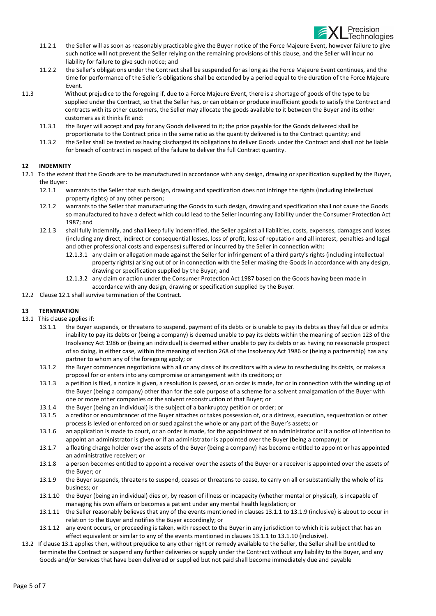

- 11.2.1 the Seller will as soon as reasonably practicable give the Buyer notice of the Force Majeure Event, however failure to give such notice will not prevent the Seller relying on the remaining provisions of this clause, and the Seller will incur no liability for failure to give such notice; and
- 11.2.2 the Seller's obligations under the Contract shall be suspended for as long as the Force Majeure Event continues, and the time for performance of the Seller's obligations shall be extended by a period equal to the duration of the Force Majeure Event.
- 11.3 Without prejudice to the foregoing if, due to a Force Majeure Event, there is a shortage of goods of the type to be supplied under the Contract, so that the Seller has, or can obtain or produce insufficient goods to satisfy the Contract and contracts with its other customers, the Seller may allocate the goods available to it between the Buyer and its other customers as it thinks fit and:
	- 11.3.1 the Buyer will accept and pay for any Goods delivered to it; the price payable for the Goods delivered shall be proportionate to the Contract price in the same ratio as the quantity delivered is to the Contract quantity; and
	- 11.3.2 the Seller shall be treated as having discharged its obligations to deliver Goods under the Contract and shall not be liable for breach of contract in respect of the failure to deliver the full Contract quantity.

### 12 INDEMNITY

- 12.1 To the extent that the Goods are to be manufactured in accordance with any design, drawing or specification supplied by the Buyer, the Buyer:
	- 12.1.1 warrants to the Seller that such design, drawing and specification does not infringe the rights (including intellectual property rights) of any other person;
	- 12.1.2 warrants to the Seller that manufacturing the Goods to such design, drawing and specification shall not cause the Goods so manufactured to have a defect which could lead to the Seller incurring any liability under the Consumer Protection Act 1987; and
	- 12.1.3 shall fully indemnify, and shall keep fully indemnified, the Seller against all liabilities, costs, expenses, damages and losses (including any direct, indirect or consequential losses, loss of profit, loss of reputation and all interest, penalties and legal and other professional costs and expenses) suffered or incurred by the Seller in connection with:
		- 12.1.3.1 any claim or allegation made against the Seller for infringement of a third party's rights (including intellectual property rights) arising out of or in connection with the Seller making the Goods in accordance with any design, drawing or specification supplied by the Buyer; and
		- 12.1.3.2 any claim or action under the Consumer Protection Act 1987 based on the Goods having been made in accordance with any design, drawing or specification supplied by the Buyer.
- 12.2 Clause 12.1 shall survive termination of the Contract.

### 13 TERMINATION

- 13.1 This clause applies if:
	- 13.1.1 the Buyer suspends, or threatens to suspend, payment of its debts or is unable to pay its debts as they fall due or admits inability to pay its debts or (being a company) is deemed unable to pay its debts within the meaning of section 123 of the Insolvency Act 1986 or (being an individual) is deemed either unable to pay its debts or as having no reasonable prospect of so doing, in either case, within the meaning of section 268 of the Insolvency Act 1986 or (being a partnership) has any partner to whom any of the foregoing apply; or
	- 13.1.2 the Buyer commences negotiations with all or any class of its creditors with a view to rescheduling its debts, or makes a proposal for or enters into any compromise or arrangement with its creditors; or
	- 13.1.3 a petition is filed, a notice is given, a resolution is passed, or an order is made, for or in connection with the winding up of the Buyer (being a company) other than for the sole purpose of a scheme for a solvent amalgamation of the Buyer with one or more other companies or the solvent reconstruction of that Buyer; or
	- 13.1.4 the Buyer (being an individual) is the subject of a bankruptcy petition or order; or
	- 13.1.5 a creditor or encumbrancer of the Buyer attaches or takes possession of, or a distress, execution, sequestration or other process is levied or enforced on or sued against the whole or any part of the Buyer's assets; or
	- 13.1.6 an application is made to court, or an order is made, for the appointment of an administrator or if a notice of intention to appoint an administrator is given or if an administrator is appointed over the Buyer (being a company); or
	- 13.1.7 a floating charge holder over the assets of the Buyer (being a company) has become entitled to appoint or has appointed an administrative receiver; or
	- 13.1.8 a person becomes entitled to appoint a receiver over the assets of the Buyer or a receiver is appointed over the assets of the Buyer; or
	- 13.1.9 the Buyer suspends, threatens to suspend, ceases or threatens to cease, to carry on all or substantially the whole of its business; or
	- 13.1.10 the Buyer (being an individual) dies or, by reason of illness or incapacity (whether mental or physical), is incapable of managing his own affairs or becomes a patient under any mental health legislation; or
	- 13.1.11 the Seller reasonably believes that any of the events mentioned in clauses 13.1.1 to 13.1.9 (inclusive) is about to occur in relation to the Buyer and notifies the Buyer accordingly; or
	- 13.1.12 any event occurs, or proceeding is taken, with respect to the Buyer in any jurisdiction to which it is subject that has an effect equivalent or similar to any of the events mentioned in clauses 13.1.1 to 13.1.10 (inclusive).
- 13.2 If clause 13.1 applies then, without prejudice to any other right or remedy available to the Seller, the Seller shall be entitled to terminate the Contract or suspend any further deliveries or supply under the Contract without any liability to the Buyer, and any Goods and/or Services that have been delivered or supplied but not paid shall become immediately due and payable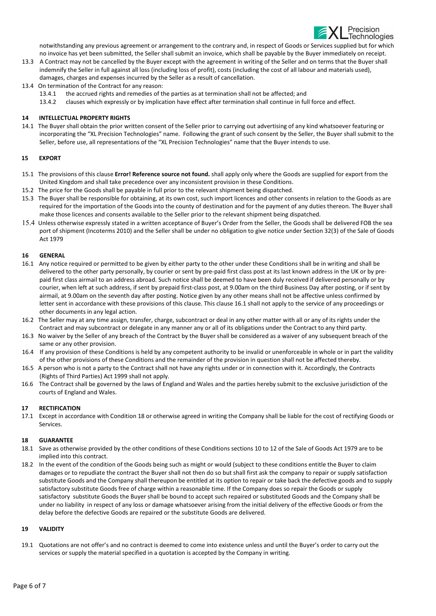

notwithstanding any previous agreement or arrangement to the contrary and, in respect of Goods or Services supplied but for which no invoice has yet been submitted, the Seller shall submit an invoice, which shall be payable by the Buyer immediately on receipt.

- 13.3 A Contract may not be cancelled by the Buyer except with the agreement in writing of the Seller and on terms that the Buyer shall indemnify the Seller in full against all loss (including loss of profit), costs (including the cost of all labour and materials used), damages, charges and expenses incurred by the Seller as a result of cancellation.
- 13.4 On termination of the Contract for any reason:
	- 13.4.1 the accrued rights and remedies of the parties as at termination shall not be affected; and
	- 13.4.2 clauses which expressly or by implication have effect after termination shall continue in full force and effect.

### 14 INTELLECTUAL PROPERTY RIGHTS

14.1 The Buyer shall obtain the prior written consent of the Seller prior to carrying out advertising of any kind whatsoever featuring or incorporating the "XL Precision Technologies" name. Following the grant of such consent by the Seller, the Buyer shall submit to the Seller, before use, all representations of the "XL Precision Technologies" name that the Buyer intends to use.

### 15 EXPORT

- 15.1 The provisions of this clause Error! Reference source not found. shall apply only where the Goods are supplied for export from the United Kingdom and shall take precedence over any inconsistent provision in these Conditions.
- 15.2 The price for the Goods shall be payable in full prior to the relevant shipment being dispatched.
- 15.3 The Buyer shall be responsible for obtaining, at its own cost, such import licences and other consents in relation to the Goods as are required for the importation of the Goods into the county of destination and for the payment of any duties thereon. The Buyer shall make those licences and consents available to the Seller prior to the relevant shipment being dispatched.
- 15.4 Unless otherwise expressly stated in a written acceptance of Buyer's Order from the Seller, the Goods shall be delivered FOB the sea port of shipment (Incoterms 2010) and the Seller shall be under no obligation to give notice under Section 32(3) of the Sale of Goods Act 1979

### 16 GENERAL

- 16.1 Any notice required or permitted to be given by either party to the other under these Conditions shall be in writing and shall be delivered to the other party personally, by courier or sent by pre-paid first class post at its last known address in the UK or by prepaid first class airmail to an address abroad. Such notice shall be deemed to have been duly received if delivered personally or by courier, when left at such address, if sent by prepaid first-class post, at 9.00am on the third Business Day after posting, or if sent by airmail, at 9.00am on the seventh day after posting. Notice given by any other means shall not be affective unless confirmed by letter sent in accordance with these provisions of this clause. This clause 16.1 shall not apply to the service of any proceedings or other documents in any legal action.
- 16.2 The Seller may at any time assign, transfer, charge, subcontract or deal in any other matter with all or any of its rights under the Contract and may subcontract or delegate in any manner any or all of its obligations under the Contract to any third party.
- 16.3 No waiver by the Seller of any breach of the Contract by the Buyer shall be considered as a waiver of any subsequent breach of the same or any other provision.
- 16.4 If any provision of these Conditions is held by any competent authority to be invalid or unenforceable in whole or in part the validity of the other provisions of these Conditions and the remainder of the provision in question shall not be affected thereby.
- 16.5 A person who is not a party to the Contract shall not have any rights under or in connection with it. Accordingly, the Contracts (Rights of Third Parties) Act 1999 shall not apply.
- 16.6 The Contract shall be governed by the laws of England and Wales and the parties hereby submit to the exclusive jurisdiction of the courts of England and Wales.

### 17 RECTIFICATION

17.1 Except in accordance with Condition 18 or otherwise agreed in writing the Company shall be liable for the cost of rectifying Goods or Services.

### 18 GUARANTEE

- 18.1 Save as otherwise provided by the other conditions of these Conditions sections 10 to 12 of the Sale of Goods Act 1979 are to be implied into this contract.
- 18.2 In the event of the condition of the Goods being such as might or would (subject to these conditions entitle the Buyer to claim damages or to repudiate the contract the Buyer shall not then do so but shall first ask the company to repair or supply satisfaction substitute Goods and the Company shall thereupon be entitled at its option to repair or take back the defective goods and to supply satisfactory substitute Goods free of charge within a reasonable time. If the Company does so repair the Goods or supply satisfactory substitute Goods the Buyer shall be bound to accept such repaired or substituted Goods and the Company shall be under no liability in respect of any loss or damage whatsoever arising from the initial delivery of the effective Goods or from the delay before the defective Goods are repaired or the substitute Goods are delivered.

### 19 VALIDITY

19.1 Quotations are not offer's and no contract is deemed to come into existence unless and until the Buyer's order to carry out the services or supply the material specified in a quotation is accepted by the Company in writing.